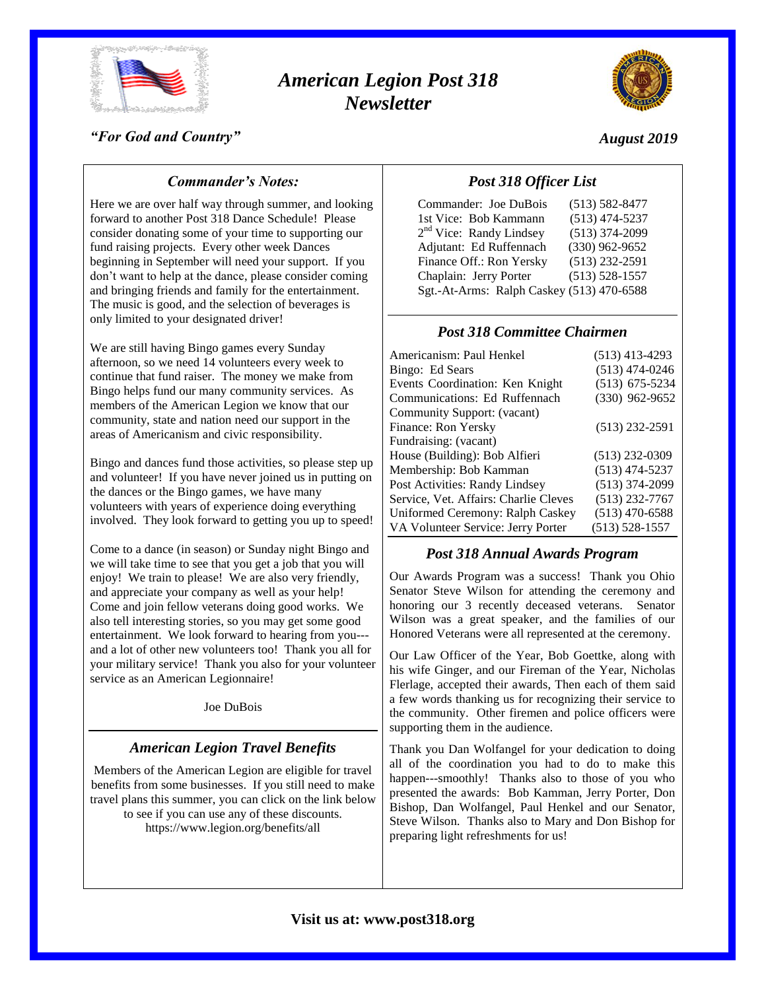

# *American Legion Post 318 Newsletter*



#### *"For God and Country"*

### *August 2019*

## *Commander's Notes:*

Here we are over half way through summer, and looking forward to another Post 318 Dance Schedule! Please consider donating some of your time to supporting our fund raising projects. Every other week Dances beginning in September will need your support. If you don't want to help at the dance, please consider coming and bringing friends and family for the entertainment. The music is good, and the selection of beverages is only limited to your designated driver!

We are still having Bingo games every Sunday afternoon, so we need 14 volunteers every week to continue that fund raiser. The money we make from Bingo helps fund our many community services. As members of the American Legion we know that our community, state and nation need our support in the areas of Americanism and civic responsibility.

Bingo and dances fund those activities, so please step up and volunteer! If you have never joined us in putting on the dances or the Bingo games, we have many volunteers with years of experience doing everything involved. They look forward to getting you up to speed!

Come to a dance (in season) or Sunday night Bingo and we will take time to see that you get a job that you will enjoy! We train to please! We are also very friendly, and appreciate your company as well as your help! Come and join fellow veterans doing good works. We also tell interesting stories, so you may get some good entertainment. We look forward to hearing from you-- and a lot of other new volunteers too! Thank you all for your military service! Thank you also for your volunteer service as an American Legionnaire!

Joe DuBois

## *American Legion Travel Benefits*

Members of the American Legion are eligible for travel benefits from some businesses. If you still need to make travel plans this summer, you can click on the link below to see if you can use any of these discounts. https://www.legion.org/benefits/all

## *Post 318 Officer List*

| Commander: Joe DuBois                     | $(513) 582 - 8477$ |
|-------------------------------------------|--------------------|
| 1st Vice: Bob Kammann                     | $(513)$ 474-5237   |
| $2nd$ Vice: Randy Lindsey                 | $(513)$ 374-2099   |
| Adjutant: Ed Ruffennach                   | $(330)$ 962-9652   |
| Finance Off.: Ron Yersky                  | $(513)$ 232-2591   |
| Chaplain: Jerry Porter                    | $(513) 528 - 1557$ |
| Sgt.-At-Arms: Ralph Caskey (513) 470-6588 |                    |

#### *Post 318 Committee Chairmen*

| Americanism: Paul Henkel              | $(513)$ 413-4293   |
|---------------------------------------|--------------------|
| Bingo: Ed Sears                       | $(513)$ 474-0246   |
| Events Coordination: Ken Knight       | $(513)$ 675-5234   |
| Communications: Ed Ruffennach         | $(330)$ 962-9652   |
| Community Support: (vacant)           |                    |
| Finance: Ron Yersky                   | $(513)$ 232-2591   |
| Fundraising: (vacant)                 |                    |
| House (Building): Bob Alfieri         | $(513)$ 232-0309   |
| Membership: Bob Kamman                | $(513)$ 474-5237   |
| Post Activities: Randy Lindsey        | $(513)$ 374-2099   |
| Service, Vet. Affairs: Charlie Cleves | $(513)$ 232-7767   |
| Uniformed Ceremony: Ralph Caskey      | $(513)$ 470-6588   |
| VA Volunteer Service: Jerry Porter    | $(513) 528 - 1557$ |

#### *Post 318 Annual Awards Program*

Our Awards Program was a success! Thank you Ohio Senator Steve Wilson for attending the ceremony and honoring our 3 recently deceased veterans. Senator Wilson was a great speaker, and the families of our Honored Veterans were all represented at the ceremony.

Our Law Officer of the Year, Bob Goettke, along with his wife Ginger, and our Fireman of the Year, Nicholas Flerlage, accepted their awards, Then each of them said a few words thanking us for recognizing their service to the community. Other firemen and police officers were supporting them in the audience.

Thank you Dan Wolfangel for your dedication to doing all of the coordination you had to do to make this happen---smoothly! Thanks also to those of you who presented the awards: Bob Kamman, Jerry Porter, Don Bishop, Dan Wolfangel, Paul Henkel and our Senator, Steve Wilson. Thanks also to Mary and Don Bishop for preparing light refreshments for us!

## **Visit us at: www.post318.org**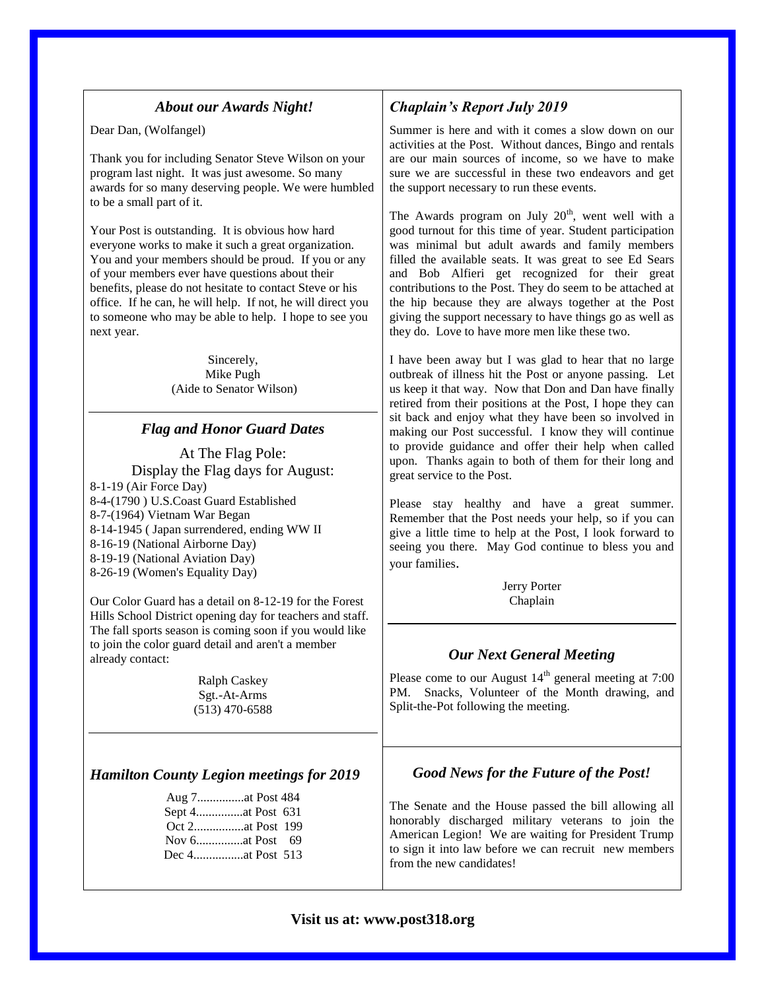#### *About our Awards Night!*

Dear Dan, (Wolfangel)

Thank you for including Senator Steve Wilson on your program last night. It was just awesome. So many awards for so many deserving people. We were humbled to be a small part of it.

Your Post is outstanding. It is obvious how hard everyone works to make it such a great organization. You and your members should be proud. If you or any of your members ever have questions about their benefits, please do not hesitate to contact Steve or his office. If he can, he will help. If not, he will direct you to someone who may be able to help. I hope to see you next year.

> Sincerely, Mike Pugh (Aide to Senator Wilson)

#### *Flag and Honor Guard Dates*

At The Flag Pole: Display the Flag days for August: 8-1-19 (Air Force Day) 8-4-(1790 ) U.S.Coast Guard Established 8-7-(1964) Vietnam War Began 8-14-1945 ( Japan surrendered, ending WW II 8-16-19 (National Airborne Day) 8-19-19 (National Aviation Day) 8-26-19 (Women's Equality Day)

Our Color Guard has a detail on 8-12-19 for the Forest Hills School District opening day for teachers and staff. The fall sports season is coming soon if you would like to join the color guard detail and aren't a member already contact:

> Ralph Caskey Sgt.-At-Arms (513) 470-6588

#### *Hamilton County Legion meetings for 2019*

## *Chaplain's Report July 2019*

Summer is here and with it comes a slow down on our activities at the Post. Without dances, Bingo and rentals are our main sources of income, so we have to make sure we are successful in these two endeavors and get the support necessary to run these events.

The Awards program on July  $20<sup>th</sup>$ , went well with a good turnout for this time of year. Student participation was minimal but adult awards and family members filled the available seats. It was great to see Ed Sears and Bob Alfieri get recognized for their great contributions to the Post. They do seem to be attached at the hip because they are always together at the Post giving the support necessary to have things go as well as they do. Love to have more men like these two.

I have been away but I was glad to hear that no large outbreak of illness hit the Post or anyone passing. Let us keep it that way. Now that Don and Dan have finally retired from their positions at the Post, I hope they can sit back and enjoy what they have been so involved in making our Post successful. I know they will continue to provide guidance and offer their help when called upon. Thanks again to both of them for their long and great service to the Post.

Please stay healthy and have a great summer. Remember that the Post needs your help, so if you can give a little time to help at the Post, I look forward to seeing you there. May God continue to bless you and your families.

> Jerry Porter Chaplain

#### *Our Next General Meeting*

Please come to our August  $14<sup>th</sup>$  general meeting at 7:00 PM. Snacks, Volunteer of the Month drawing, and Split-the-Pot following the meeting.

#### *Good News for the Future of the Post!*

The Senate and the House passed the bill allowing all honorably discharged military veterans to join the American Legion! We are waiting for President Trump to sign it into law before we can recruit new members from the new candidates!

#### **Visit us at: www.post318.org**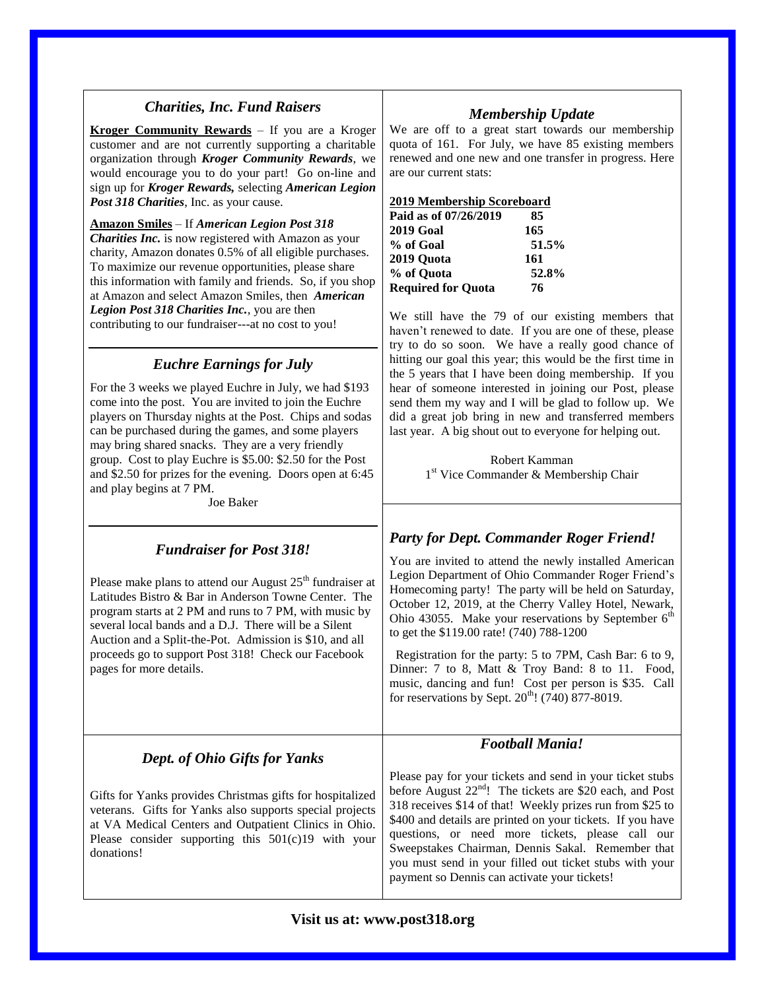## *Charities, Inc. Fund Raisers*

**Kroger Community Rewards** – If you are a Kroger customer and are not currently supporting a charitable organization through *Kroger Community Rewards*, we would encourage you to do your part! Go on-line and sign up for *Kroger Rewards,* selecting *American Legion Post 318 Charities*, Inc. as your cause.

**Amazon Smiles** – If *American Legion Post 318 Charities Inc.* is now registered with Amazon as your charity, Amazon donates 0.5% of all eligible purchases. To maximize our revenue opportunities, please share this information with family and friends. So, if you shop at Amazon and select Amazon Smiles, then *American Legion Post 318 Charities Inc.*, you are then contributing to our fundraiser---at no cost to you!

## *Euchre Earnings for July*

For the 3 weeks we played Euchre in July, we had \$193 come into the post. You are invited to join the Euchre players on Thursday nights at the Post. Chips and sodas can be purchased during the games, and some players may bring shared snacks. They are a very friendly group. Cost to play Euchre is \$5.00: \$2.50 for the Post and \$2.50 for prizes for the evening. Doors open at 6:45 and play begins at 7 PM.

Joe Baker

## *Fundraiser for Post 318!*

Please make plans to attend our August  $25<sup>th</sup>$  fundraiser at Latitudes Bistro & Bar in Anderson Towne Center. The program starts at 2 PM and runs to 7 PM, with music by several local bands and a D.J. There will be a Silent Auction and a Split-the-Pot. Admission is \$10, and all proceeds go to support Post 318! Check our Facebook pages for more details.

# *Dept. of Ohio Gifts for Yanks*

Gifts for Yanks provides Christmas gifts for hospitalized veterans. Gifts for Yanks also supports special projects at VA Medical Centers and Outpatient Clinics in Ohio. Please consider supporting this 501(c)19 with your donations!

## *Membership Update*

We are off to a great start towards our membership quota of 161. For July, we have 85 existing members renewed and one new and one transfer in progress. Here are our current stats:

#### **2019 Membership Scoreboard**

| Paid as of 07/26/2019     | 85    |
|---------------------------|-------|
| <b>2019 Goal</b>          | 165   |
| % of Goal                 | 51.5% |
| 2019 Quota                | 161   |
| % of Quota                | 52.8% |
| <b>Required for Quota</b> | 76    |

We still have the 79 of our existing members that haven't renewed to date. If you are one of these, please try to do so soon. We have a really good chance of hitting our goal this year; this would be the first time in the 5 years that I have been doing membership. If you hear of someone interested in joining our Post, please send them my way and I will be glad to follow up. We did a great job bring in new and transferred members last year. A big shout out to everyone for helping out.

> Robert Kamman 1 st Vice Commander & Membership Chair

#### *Party for Dept. Commander Roger Friend!*

You are invited to attend the newly installed American Legion Department of Ohio Commander Roger Friend's Homecoming party! The party will be held on Saturday, October 12, 2019, at the Cherry Valley Hotel, Newark, Ohio 43055. Make your reservations by September  $6<sup>th</sup>$ to get the \$119.00 rate! (740) 788-1200

 Registration for the party: 5 to 7PM, Cash Bar: 6 to 9, Dinner: 7 to 8, Matt & Troy Band: 8 to 11. Food, music, dancing and fun! Cost per person is \$35. Call for reservations by Sept.  $20^{th}$ ! (740) 877-8019.

#### *Football Mania!*

Please pay for your tickets and send in your ticket stubs before August 22<sup>nd</sup>! The tickets are \$20 each, and Post 318 receives \$14 of that! Weekly prizes run from \$25 to \$400 and details are printed on your tickets. If you have questions, or need more tickets, please call our Sweepstakes Chairman, Dennis Sakal. Remember that you must send in your filled out ticket stubs with your payment so Dennis can activate your tickets!